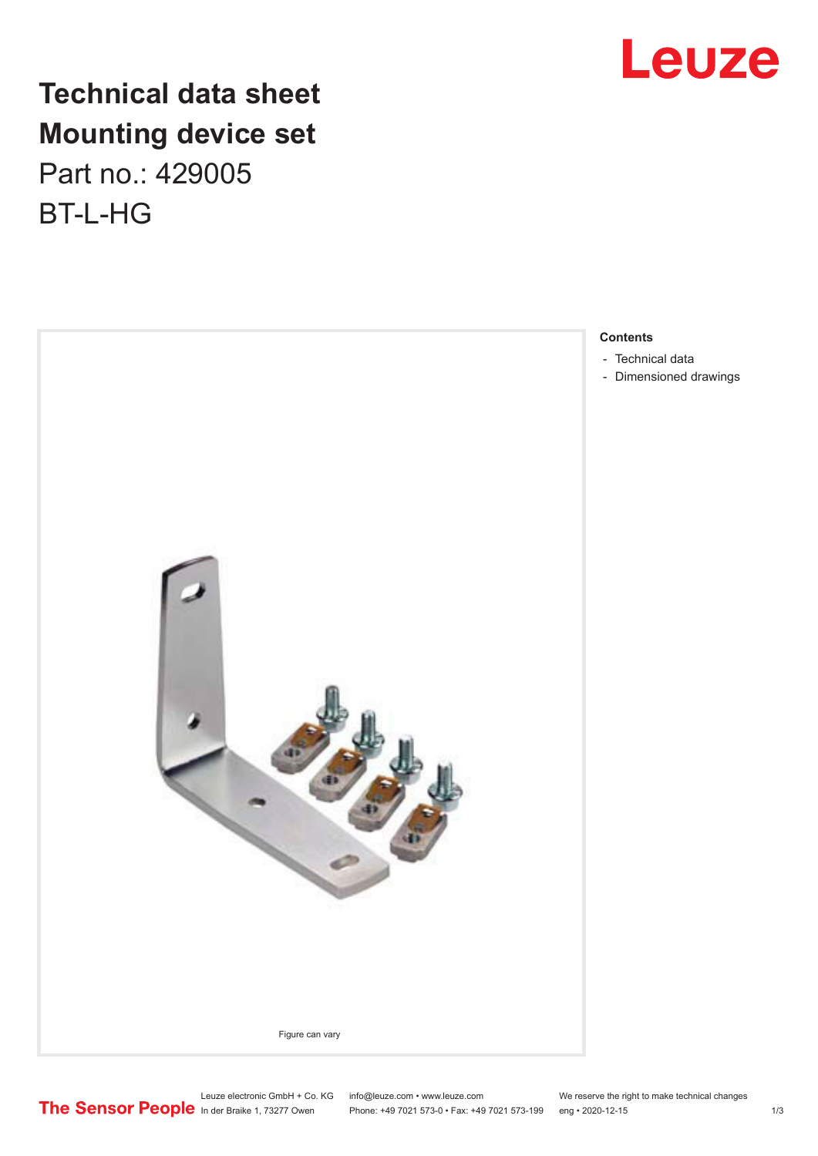

## **Technical data sheet Mounting device set** Part no.: 429005 BT-L-HG



Leuze electronic GmbH + Co. KG info@leuze.com • www.leuze.com We reserve the right to make technical changes<br>
The Sensor People in der Braike 1, 73277 Owen Phone: +49 7021 573-0 • Fax: +49 7021 573-199 eng • 2020-12-15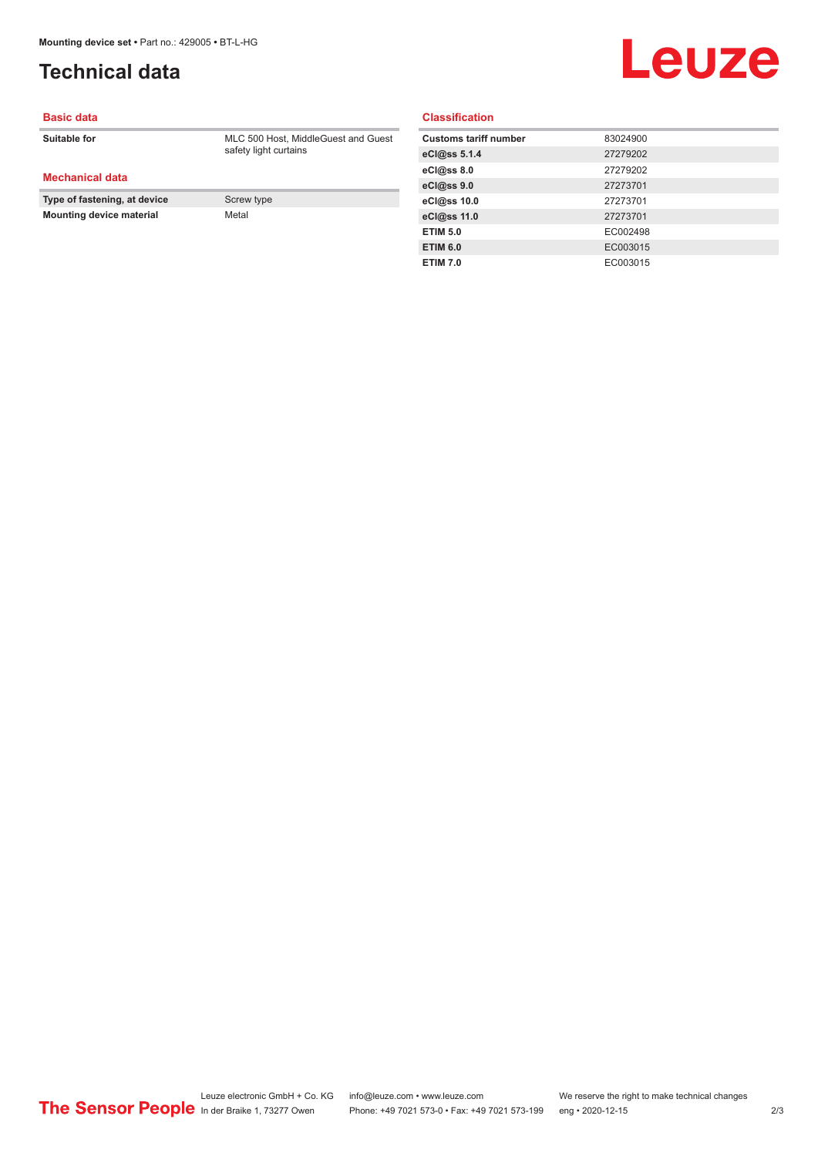### <span id="page-1-0"></span>**Technical data**

# Leuze

#### **Basic data**

**Suitable for** MLC 500 Host, MiddleGuest and Guest

**Mechanical data**

**Type of fastening, at device** Screw type **Mounting device material Metal Metal** 

safety light curtains

**Classification**

| <b>Customs tariff number</b> | 83024900 |
|------------------------------|----------|
| eCl@ss 5.1.4                 | 27279202 |
| eCl@ss 8.0                   | 27279202 |
| eCl@ss 9.0                   | 27273701 |
| eCl@ss 10.0                  | 27273701 |
| eCl@ss 11.0                  | 27273701 |
| <b>ETIM 5.0</b>              | EC002498 |
| <b>ETIM 6.0</b>              | EC003015 |
| <b>ETIM 7.0</b>              | EC003015 |